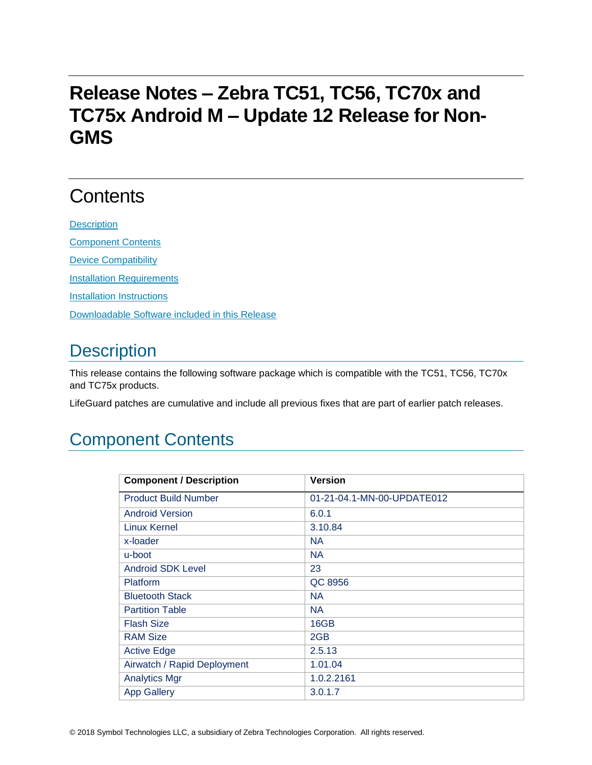# **Release Notes – Zebra TC51, TC56, TC70x and TC75x Android M – Update 12 Release for Non-GMS**

# **Contents**

**[Description](#page-0-0)** [Component Contents](#page-0-1) [Device Compatibility](#page-6-0) **[Installation Requirements](#page-7-0) [Installation Instructions](#page-7-1)** [Downloadable Software included in this Release](#page-8-0)

# <span id="page-0-0"></span>**Description**

This release contains the following software package which is compatible with the TC51, TC56, TC70x and TC75x products.

LifeGuard patches are cumulative and include all previous fixes that are part of earlier patch releases.

# <span id="page-0-1"></span>Component Contents

| <b>Component / Description</b> | <b>Version</b>             |
|--------------------------------|----------------------------|
| <b>Product Build Number</b>    | 01-21-04.1-MN-00-UPDATE012 |
| <b>Android Version</b>         | 6.0.1                      |
| <b>Linux Kernel</b>            | 3.10.84                    |
| x-loader                       | <b>NA</b>                  |
| u-boot                         | <b>NA</b>                  |
| Android SDK Level              | 23                         |
| <b>Platform</b>                | QC 8956                    |
| <b>Bluetooth Stack</b>         | <b>NA</b>                  |
| <b>Partition Table</b>         | <b>NA</b>                  |
| <b>Flash Size</b>              | 16GB                       |
| <b>RAM Size</b>                | 2GB                        |
| <b>Active Edge</b>             | 2.5.13                     |
| Airwatch / Rapid Deployment    | 1.01.04                    |
| <b>Analytics Mgr</b>           | 1.0.2.2161                 |
| <b>App Gallery</b>             | 3.0.1.7                    |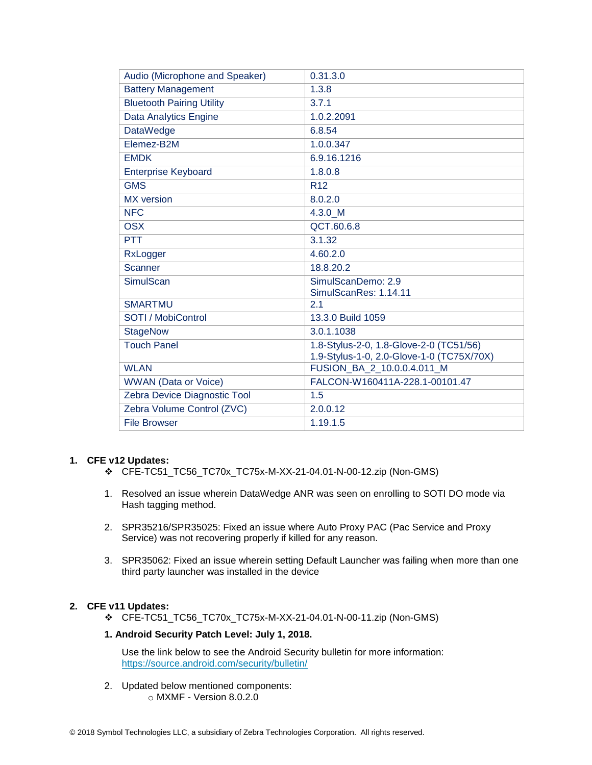| Audio (Microphone and Speaker)   | 0.31.3.0                                                                             |
|----------------------------------|--------------------------------------------------------------------------------------|
| <b>Battery Management</b>        | 1.3.8                                                                                |
| <b>Bluetooth Pairing Utility</b> | 3.7.1                                                                                |
| Data Analytics Engine            | 1.0.2.2091                                                                           |
| <b>DataWedge</b>                 | 6.8.54                                                                               |
| Elemez-B2M                       | 1.0.0.347                                                                            |
| <b>EMDK</b>                      | 6.9.16.1216                                                                          |
| <b>Enterprise Keyboard</b>       | 1.8.0.8                                                                              |
| <b>GMS</b>                       | R <sub>12</sub>                                                                      |
| <b>MX</b> version                | 8.0.2.0                                                                              |
| <b>NFC</b>                       | 4.3.0 M                                                                              |
| <b>OSX</b>                       | QCT.60.6.8                                                                           |
| <b>PTT</b>                       | 3.1.32                                                                               |
| RxLogger                         | 4.60.2.0                                                                             |
| <b>Scanner</b>                   | 18.8.20.2                                                                            |
| <b>SimulScan</b>                 | SimulScanDemo: 2.9                                                                   |
|                                  | SimulScanRes: 1.14.11                                                                |
| <b>SMARTMU</b>                   | 2.1                                                                                  |
| SOTI / MobiControl               | 13.3.0 Build 1059                                                                    |
| <b>StageNow</b>                  | 3.0.1.1038                                                                           |
| <b>Touch Panel</b>               | 1.8-Stylus-2-0, 1.8-Glove-2-0 (TC51/56)<br>1.9-Stylus-1-0, 2.0-Glove-1-0 (TC75X/70X) |
| <b>WLAN</b>                      | FUSION_BA_2_10.0.0.4.011_M                                                           |
| <b>WWAN</b> (Data or Voice)      | FALCON-W160411A-228.1-00101.47                                                       |
| Zebra Device Diagnostic Tool     | 1.5                                                                                  |
| Zebra Volume Control (ZVC)       | 2.0.0.12                                                                             |
| <b>File Browser</b>              | 1.19.1.5                                                                             |

### **1. CFE v12 Updates:**

- ❖ CFE-TC51\_TC56\_TC70x\_TC75x-M-XX-21-04.01-N-00-12.zip (Non-GMS)
- 1. Resolved an issue wherein DataWedge ANR was seen on enrolling to SOTI DO mode via Hash tagging method.
- 2. SPR35216/SPR35025: Fixed an issue where Auto Proxy PAC (Pac Service and Proxy Service) was not recovering properly if killed for any reason.
- 3. SPR35062: Fixed an issue wherein setting Default Launcher was failing when more than one third party launcher was installed in the device

### **2. CFE v11 Updates:**

❖ CFE-TC51\_TC56\_TC70x\_TC75x-M-XX-21-04.01-N-00-11.zip (Non-GMS)

### **1. Android Security Patch Level: July 1, 2018.**

Use the link below to see the Android Security bulletin for more information: <https://source.android.com/security/bulletin/>

2. Updated below mentioned components: o MXMF - Version 8.0.2.0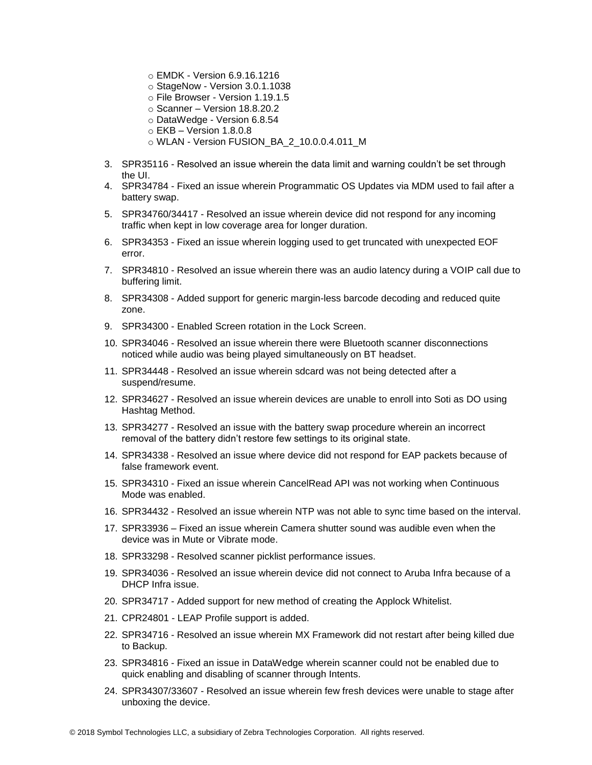- o EMDK Version 6.9.16.1216
- o StageNow Version 3.0.1.1038
- o File Browser Version 1.19.1.5
- $\circ$  Scanner Version 18.8.20.2
- o DataWedge Version 6.8.54
- o EKB Version 1.8.0.8
- o WLAN Version FUSION\_BA\_2\_10.0.0.4.011\_M
- 3. SPR35116 Resolved an issue wherein the data limit and warning couldn't be set through the UI.
- 4. SPR34784 Fixed an issue wherein Programmatic OS Updates via MDM used to fail after a battery swap.
- 5. SPR34760/34417 Resolved an issue wherein device did not respond for any incoming traffic when kept in low coverage area for longer duration.
- 6. SPR34353 Fixed an issue wherein logging used to get truncated with unexpected EOF error.
- 7. SPR34810 Resolved an issue wherein there was an audio latency during a VOIP call due to buffering limit.
- 8. SPR34308 Added support for generic margin-less barcode decoding and reduced quite zone.
- 9. SPR34300 Enabled Screen rotation in the Lock Screen.
- 10. SPR34046 Resolved an issue wherein there were Bluetooth scanner disconnections noticed while audio was being played simultaneously on BT headset.
- 11. SPR34448 Resolved an issue wherein sdcard was not being detected after a suspend/resume.
- 12. SPR34627 Resolved an issue wherein devices are unable to enroll into Soti as DO using Hashtag Method.
- 13. SPR34277 Resolved an issue with the battery swap procedure wherein an incorrect removal of the battery didn't restore few settings to its original state.
- 14. SPR34338 Resolved an issue where device did not respond for EAP packets because of false framework event.
- 15. SPR34310 Fixed an issue wherein CancelRead API was not working when Continuous Mode was enabled.
- 16. SPR34432 Resolved an issue wherein NTP was not able to sync time based on the interval.
- 17. SPR33936 Fixed an issue wherein Camera shutter sound was audible even when the device was in Mute or Vibrate mode.
- 18. SPR33298 Resolved scanner picklist performance issues.
- 19. SPR34036 Resolved an issue wherein device did not connect to Aruba Infra because of a DHCP Infra issue.
- 20. SPR34717 Added support for new method of creating the Applock Whitelist.
- 21. CPR24801 LEAP Profile support is added.
- 22. SPR34716 Resolved an issue wherein MX Framework did not restart after being killed due to Backup.
- 23. SPR34816 Fixed an issue in DataWedge wherein scanner could not be enabled due to quick enabling and disabling of scanner through Intents.
- 24. SPR34307/33607 Resolved an issue wherein few fresh devices were unable to stage after unboxing the device.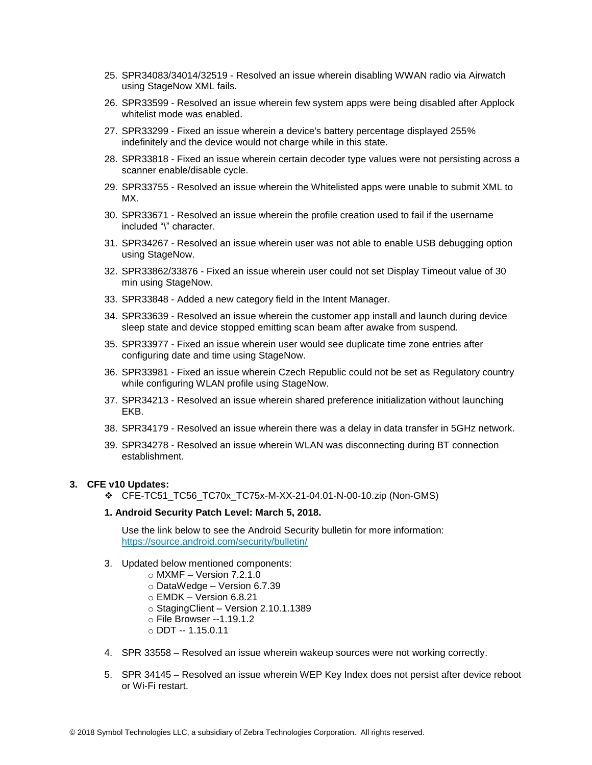- 25. SPR34083/34014/32519 Resolved an issue wherein disabling WWAN radio via Airwatch using StageNow XML fails.
- 26. SPR33599 Resolved an issue wherein few system apps were being disabled after Applock whitelist mode was enabled.
- 27. SPR33299 Fixed an issue wherein a device's battery percentage displayed 255% indefinitely and the device would not charge while in this state.
- 28. SPR33818 Fixed an issue wherein certain decoder type values were not persisting across a scanner enable/disable cycle.
- 29. SPR33755 Resolved an issue wherein the Whitelisted apps were unable to submit XML to MX.
- 30. SPR33671 Resolved an issue wherein the profile creation used to fail if the username included "\" character.
- 31. SPR34267 Resolved an issue wherein user was not able to enable USB debugging option using StageNow.
- 32. SPR33862/33876 Fixed an issue wherein user could not set Display Timeout value of 30 min using StageNow.
- 33. SPR33848 Added a new category field in the Intent Manager.
- 34. SPR33639 Resolved an issue wherein the customer app install and launch during device sleep state and device stopped emitting scan beam after awake from suspend.
- 35. SPR33977 Fixed an issue wherein user would see duplicate time zone entries after configuring date and time using StageNow.
- 36. SPR33981 Fixed an issue wherein Czech Republic could not be set as Regulatory country while configuring WLAN profile using StageNow.
- 37. SPR34213 Resolved an issue wherein shared preference initialization without launching EKB.
- 38. SPR34179 Resolved an issue wherein there was a delay in data transfer in 5GHz network.
- 39. SPR34278 Resolved an issue wherein WLAN was disconnecting during BT connection establishment.

#### **3. CFE v10 Updates:**

❖ CFE-TC51\_TC56\_TC70x\_TC75x-M-XX-21-04.01-N-00-10.zip (Non-GMS)

#### **1. Android Security Patch Level: March 5, 2018.**

Use the link below to see the Android Security bulletin for more information: <https://source.android.com/security/bulletin/>

- 3. Updated below mentioned components:
	- $\circ$  MXMF Version 7.2.1.0
	- o DataWedge Version 6.7.39
	- $\circ$  EMDK Version 6.8.21
	- o StagingClient Version 2.10.1.1389
	- o File Browser --1.19.1.2
	- o DDT -- 1.15.0.11
- 4. SPR 33558 Resolved an issue wherein wakeup sources were not working correctly.
- 5. SPR 34145 Resolved an issue wherein WEP Key Index does not persist after device reboot or Wi-Fi restart.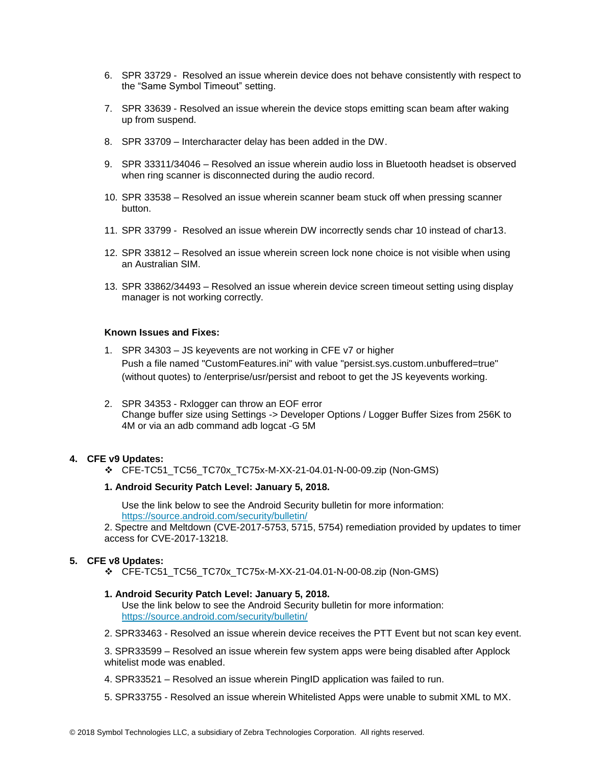- 6. SPR 33729 Resolved an issue wherein device does not behave consistently with respect to the "Same Symbol Timeout" setting.
- 7. SPR 33639 Resolved an issue wherein the device stops emitting scan beam after waking up from suspend.
- 8. SPR 33709 Intercharacter delay has been added in the DW.
- 9. SPR 33311/34046 Resolved an issue wherein audio loss in Bluetooth headset is observed when ring scanner is disconnected during the audio record.
- 10. SPR 33538 Resolved an issue wherein scanner beam stuck off when pressing scanner button.
- 11. SPR 33799 Resolved an issue wherein DW incorrectly sends char 10 instead of char13.
- 12. SPR 33812 Resolved an issue wherein screen lock none choice is not visible when using an Australian SIM.
- 13. SPR 33862/34493 Resolved an issue wherein device screen timeout setting using display manager is not working correctly.

#### **Known Issues and Fixes:**

- 1. SPR 34303 JS keyevents are not working in CFE v7 or higher Push a file named "CustomFeatures.ini" with value "persist.sys.custom.unbuffered=true" (without quotes) to /enterprise/usr/persist and reboot to get the JS keyevents working.
- 2. SPR 34353 Rxlogger can throw an EOF error Change buffer size using Settings -> Developer Options / Logger Buffer Sizes from 256K to 4M or via an adb command adb logcat -G 5M

### **4. CFE v9 Updates:**

❖ CFE-TC51\_TC56\_TC70x\_TC75x-M-XX-21-04.01-N-00-09.zip (Non-GMS)

#### **1. Android Security Patch Level: January 5, 2018.**

Use the link below to see the Android Security bulletin for more information: <https://source.android.com/security/bulletin/>

2. Spectre and Meltdown (CVE-2017-5753, 5715, 5754) remediation provided by updates to timer access for CVE-2017-13218.

#### **5. CFE v8 Updates:**

❖ CFE-TC51\_TC56\_TC70x\_TC75x-M-XX-21-04.01-N-00-08.zip (Non-GMS)

#### **1. Android Security Patch Level: January 5, 2018.**

Use the link below to see the Android Security bulletin for more information: <https://source.android.com/security/bulletin/>

2. SPR33463 - Resolved an issue wherein device receives the PTT Event but not scan key event.

3. SPR33599 – Resolved an issue wherein few system apps were being disabled after Applock whitelist mode was enabled.

- 4. SPR33521 Resolved an issue wherein PingID application was failed to run.
- 5. SPR33755 Resolved an issue wherein Whitelisted Apps were unable to submit XML to MX.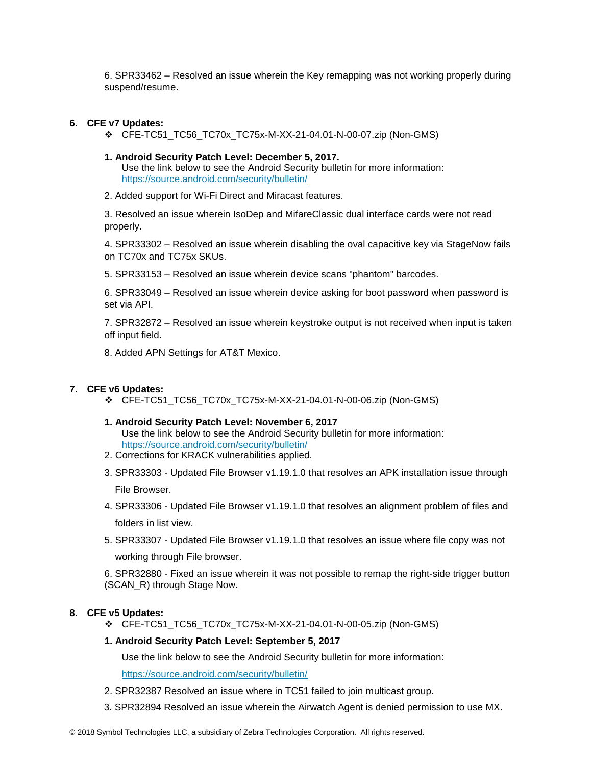6. SPR33462 – Resolved an issue wherein the Key remapping was not working properly during suspend/resume.

### **6. CFE v7 Updates:**

- ❖ CFE-TC51\_TC56\_TC70x\_TC75x-M-XX-21-04.01-N-00-07.zip (Non-GMS)
- **1. Android Security Patch Level: December 5, 2017.** Use the link below to see the Android Security bulletin for more information: <https://source.android.com/security/bulletin/>
- 2. Added support for Wi-Fi Direct and Miracast features.

3. Resolved an issue wherein IsoDep and MifareClassic dual interface cards were not read properly.

4. SPR33302 – Resolved an issue wherein disabling the oval capacitive key via StageNow fails on TC70x and TC75x SKUs.

5. SPR33153 – Resolved an issue wherein device scans "phantom" barcodes.

6. SPR33049 – Resolved an issue wherein device asking for boot password when password is set via API.

7. SPR32872 – Resolved an issue wherein keystroke output is not received when input is taken off input field.

8. Added APN Settings for AT&T Mexico.

### **7. CFE v6 Updates:**

- ❖ CFE-TC51\_TC56\_TC70x\_TC75x-M-XX-21-04.01-N-00-06.zip (Non-GMS)
- **1. Android Security Patch Level: November 6, 2017** Use the link below to see the Android Security bulletin for more information:

<https://source.android.com/security/bulletin/>

- 2. Corrections for KRACK vulnerabilities applied.
- 3. SPR33303 Updated File Browser v1.19.1.0 that resolves an APK installation issue through File Browser.
- 4. SPR33306 Updated File Browser v1.19.1.0 that resolves an alignment problem of files and folders in list view.
- 5. SPR33307 Updated File Browser v1.19.1.0 that resolves an issue where file copy was not working through File browser.

6. SPR32880 - Fixed an issue wherein it was not possible to remap the right-side trigger button (SCAN\_R) through Stage Now.

### **8. CFE v5 Updates:**

❖ CFE-TC51\_TC56\_TC70x\_TC75x-M-XX-21-04.01-N-00-05.zip (Non-GMS)

### **1. Android Security Patch Level: September 5, 2017**

Use the link below to see the Android Security bulletin for more information:

<https://source.android.com/security/bulletin/>

- 2. SPR32387 Resolved an issue where in TC51 failed to join multicast group.
- 3. SPR32894 Resolved an issue wherein the Airwatch Agent is denied permission to use MX.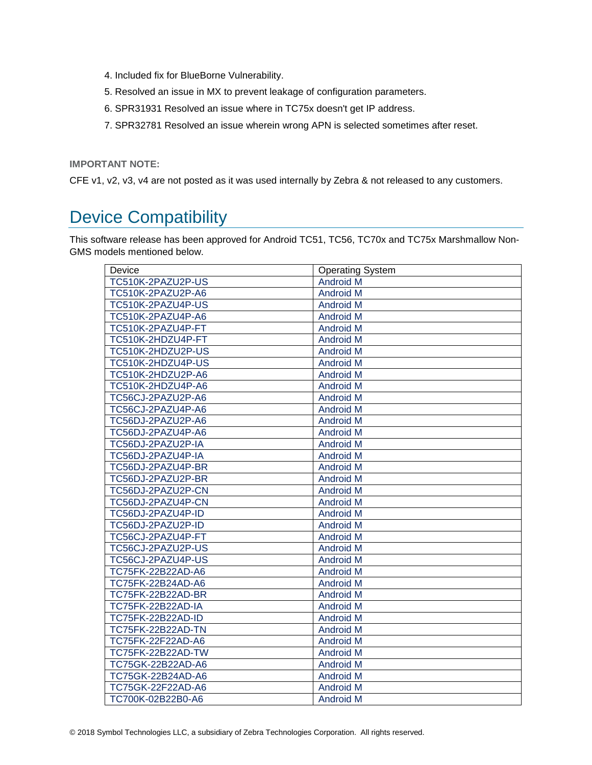- 4. Included fix for BlueBorne Vulnerability.
- 5. Resolved an issue in MX to prevent leakage of configuration parameters.
- 6. SPR31931 Resolved an issue where in TC75x doesn't get IP address.
- 7. SPR32781 Resolved an issue wherein wrong APN is selected sometimes after reset.

**IMPORTANT NOTE:**

CFE v1, v2, v3, v4 are not posted as it was used internally by Zebra & not released to any customers.

# <span id="page-6-0"></span>Device Compatibility

This software release has been approved for Android TC51, TC56, TC70x and TC75x Marshmallow Non-GMS models mentioned below.

| Device                   | <b>Operating System</b> |
|--------------------------|-------------------------|
| TC510K-2PAZU2P-US        | <b>Android M</b>        |
| TC510K-2PAZU2P-A6        | <b>Android M</b>        |
| TC510K-2PAZU4P-US        | <b>Android M</b>        |
| TC510K-2PAZU4P-A6        | <b>Android M</b>        |
| TC510K-2PAZU4P-FT        | <b>Android M</b>        |
| TC510K-2HDZU4P-FT        | <b>Android M</b>        |
| TC510K-2HDZU2P-US        | <b>Android M</b>        |
| TC510K-2HDZU4P-US        | <b>Android M</b>        |
| TC510K-2HDZU2P-A6        | <b>Android M</b>        |
| TC510K-2HDZU4P-A6        | <b>Android M</b>        |
| TC56CJ-2PAZU2P-A6        | Android M               |
| TC56CJ-2PAZU4P-A6        | <b>Android M</b>        |
| TC56DJ-2PAZU2P-A6        | Android M               |
| TC56DJ-2PAZU4P-A6        | <b>Android M</b>        |
| TC56DJ-2PAZU2P-IA        | <b>Android M</b>        |
| TC56DJ-2PAZU4P-IA        | <b>Android M</b>        |
| TC56DJ-2PAZU4P-BR        | <b>Android M</b>        |
| TC56DJ-2PAZU2P-BR        | <b>Android M</b>        |
| TC56DJ-2PAZU2P-CN        | <b>Android M</b>        |
| TC56DJ-2PAZU4P-CN        | <b>Android M</b>        |
| TC56DJ-2PAZU4P-ID        | <b>Android M</b>        |
| TC56DJ-2PAZU2P-ID        | <b>Android M</b>        |
| TC56CJ-2PAZU4P-FT        | <b>Android M</b>        |
| TC56CJ-2PAZU2P-US        | <b>Android M</b>        |
| TC56CJ-2PAZU4P-US        | <b>Android M</b>        |
| TC75FK-22B22AD-A6        | <b>Android M</b>        |
| TC75FK-22B24AD-A6        | <b>Android M</b>        |
| TC75FK-22B22AD-BR        | <b>Android M</b>        |
| <b>TC75FK-22B22AD-IA</b> | <b>Android M</b>        |
| <b>TC75FK-22B22AD-ID</b> | <b>Android M</b>        |
| TC75FK-22B22AD-TN        | <b>Android M</b>        |
| TC75FK-22F22AD-A6        | <b>Android M</b>        |
| TC75FK-22B22AD-TW        | <b>Android M</b>        |
| TC75GK-22B22AD-A6        | <b>Android M</b>        |
| TC75GK-22B24AD-A6        | Android M               |
| TC75GK-22F22AD-A6        | <b>Android M</b>        |
| TC700K-02B22B0-A6        | <b>Android M</b>        |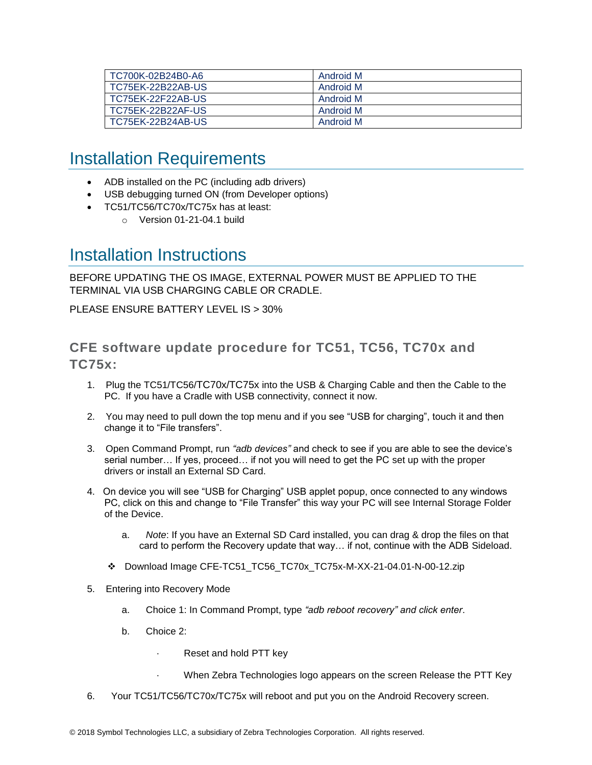| TC700K-02B24B0-A6 | Android M |
|-------------------|-----------|
| TC75EK-22B22AB-US | Android M |
| TC75EK-22F22AB-US | Android M |
| TC75EK-22B22AF-US | Android M |
| TC75EK-22B24AB-US | Android M |

# <span id="page-7-0"></span>Installation Requirements

- ADB installed on the PC (including adb drivers)
- USB debugging turned ON (from Developer options)
- TC51/TC56/TC70x/TC75x has at least:
	- o Version 01-21-04.1 build

### <span id="page-7-1"></span>Installation Instructions

BEFORE UPDATING THE OS IMAGE, EXTERNAL POWER MUST BE APPLIED TO THE TERMINAL VIA USB CHARGING CABLE OR CRADLE.

PLEASE ENSURE BATTERY LEVEL IS > 30%

### CFE software update procedure for TC51, TC56, TC70x and TC75x:

- 1. Plug the TC51/TC56/TC70x/TC75x into the USB & Charging Cable and then the Cable to the PC. If you have a Cradle with USB connectivity, connect it now.
- 2. You may need to pull down the top menu and if you see "USB for charging", touch it and then change it to "File transfers".
- 3. Open Command Prompt, run *"adb devices"* and check to see if you are able to see the device's serial number… If yes, proceed… if not you will need to get the PC set up with the proper drivers or install an External SD Card.
- 4. On device you will see "USB for Charging" USB applet popup, once connected to any windows PC, click on this and change to "File Transfer" this way your PC will see Internal Storage Folder of the Device.
	- a. *Note*: If you have an External SD Card installed, you can drag & drop the files on that card to perform the Recovery update that way… if not, continue with the ADB Sideload.
	- ❖ Download Image CFE-TC51\_TC56\_TC70x\_TC75x-M-XX-21-04.01-N-00-12.zip
- 5. Entering into Recovery Mode
	- a. Choice 1: In Command Prompt, type *"adb reboot recovery" and click enter*.
	- b. Choice 2:
		- Reset and hold PTT key
		- When Zebra Technologies logo appears on the screen Release the PTT Key
- 6. Your TC51/TC56/TC70x/TC75x will reboot and put you on the Android Recovery screen.